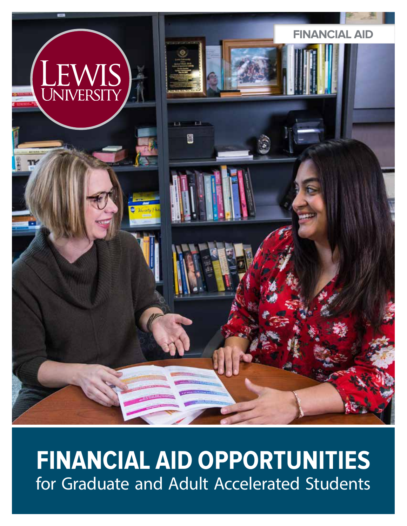

# **FINANCIAL AID OPPORTUNITIES** for Graduate and Adult Accelerated Students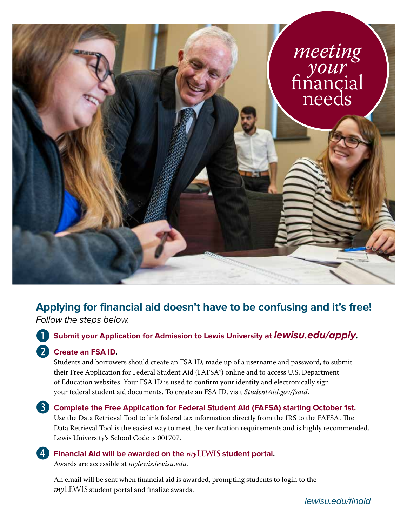

# **Applying for financial aid doesn't have to be confusing and it's free!**

Follow the steps below.

## b **Submit your Application for Admission to Lewis University at lewisu.edu/apply.**

## c **Create an FSA ID.**

Students and borrowers should create an FSA ID, made up of a username and password, to submit their Free Application for Federal Student Aid (FAFSA®) online and to access U.S. Department of Education websites. Your FSA ID is used to confirm your identity and electronically sign your federal student aid documents. To create an FSA ID, visit *StudentAid.gov/fsaid*.

## **6** Complete the Free Application for Federal Student Aid (FAFSA) starting October 1st.

Use the Data Retrieval Tool to link federal tax information directly from the IRS to the FAFSA. The Data Retrieval Tool is the easiest way to meet the verification requirements and is highly recommended. Lewis University's School Code is 001707.

#### e **Financial Aid will be awarded on the** *my***LEWIS student portal.**  Awards are accessible at *mylewis.lewisu.edu.*

An email will be sent when financial aid is awarded, prompting students to login to the *my*LEWIS student portal and finalize awards.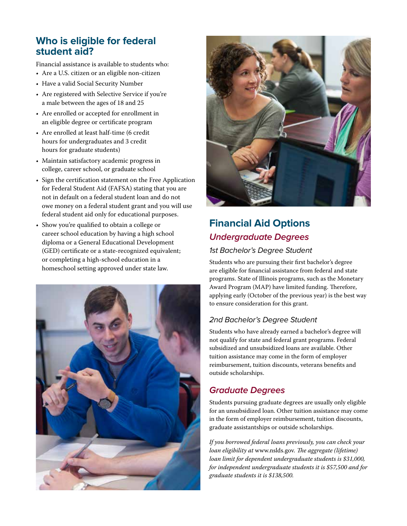# **Who is eligible for federal student aid?**

Financial assistance is available to students who:

- Are a U.S. citizen or an eligible non-citizen
- Have a valid Social Security Number
- Are registered with Selective Service if you're a male between the ages of 18 and 25
- Are enrolled or accepted for enrollment in an eligible degree or certificate program
- Are enrolled at least half-time (6 credit hours for undergraduates and 3 credit hours for graduate students)
- Maintain satisfactory academic progress in college, career school, or graduate school
- Sign the certification statement on the Free Application for Federal Student Aid (FAFSA) stating that you are not in default on a federal student loan and do not owe money on a federal student grant and you will use federal student aid only for educational purposes.
- Show you're qualified to obtain a college or career school education by having a high school diploma or a General Educational Development (GED) certificate or a state-recognized equivalent; or completing a high-school education in a homeschool setting approved under state law.





# **Financial Aid Options Undergraduate Degrees**

#### 1st Bachelor's Degree Student

Students who are pursuing their first bachelor's degree are eligible for financial assistance from federal and state programs. State of Illinois programs, such as the Monetary Award Program (MAP) have limited funding. Therefore, applying early (October of the previous year) is the best way to ensure consideration for this grant.

# 2nd Bachelor's Degree Student

Students who have already earned a bachelor's degree will not qualify for state and federal grant programs. Federal subsidized and unsubsidized loans are available. Other tuition assistance may come in the form of employer reimbursement, tuition discounts, veterans benefits and outside scholarships.

# **Graduate Degrees**

Students pursuing graduate degrees are usually only eligible for an unsubsidized loan. Other tuition assistance may come in the form of employer reimbursement, tuition discounts, graduate assistantships or outside scholarships.

*If you borrowed federal loans previously, you can check your loan eligibility at* www.nslds.gov*. The aggregate (lifetime) loan limit for dependent undergraduate students is \$31,000, for independent undergraduate students it is \$57,500 and for graduate students it is \$138,500.*